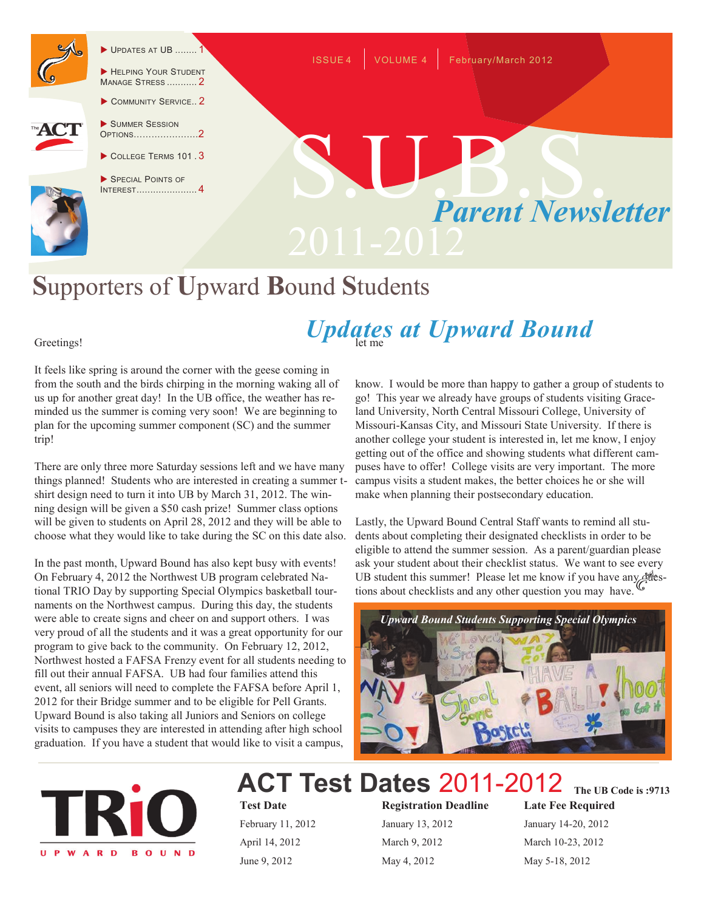

 $\blacktriangleright$  UPDATES AT UB ....

HELPING YOUR STUDENT MANAGE STRESS ........... 2 COMMUNITY SERVICE.. 2



- SUMMER SESSION OPTIONS………………….2
- $\triangleright$  COLLEGE TERMS 101 3
- SPECIAL POINTS OF INTEREST...................... 4



ISSUE 4 VOLUME 4 February/March 2012

# **S**upporters of **U**pward **B**ound **S**tudents

# Updates at Upward Bound

#### Greetings!

It feels like spring is around the corner with the geese coming in from the south and the birds chirping in the morning waking all of us up for another great day! In the UB office, the weather has reminded us the summer is coming very soon! We are beginning to plan for the upcoming summer component (SC) and the summer trip!

There are only three more Saturday sessions left and we have many things planned! Students who are interested in creating a summer tshirt design need to turn it into UB by March 31, 2012. The winning design will be given a \$50 cash prize! Summer class options will be given to students on April 28, 2012 and they will be able to choose what they would like to take during the SC on this date also.

In the past month, Upward Bound has also kept busy with events! On February 4, 2012 the Northwest UB program celebrated National TRIO Day by supporting Special Olympics basketball tournaments on the Northwest campus. During this day, the students were able to create signs and cheer on and support others. I was very proud of all the students and it was a great opportunity for our program to give back to the community. On February 12, 2012, Northwest hosted a FAFSA Frenzy event for all students needing to fill out their annual FAFSA. UB had four families attend this event, all seniors will need to complete the FAFSA before April 1, 2012 for their Bridge summer and to be eligible for Pell Grants. Upward Bound is also taking all Juniors and Seniors on college visits to campuses they are interested in attending after high school graduation. If you have a student that would like to visit a campus,

know. I would be more than happy to gather a group of students to go! This year we already have groups of students visiting Graceland University, North Central Missouri College, University of Missouri-Kansas City, and Missouri State University. If there is another college your student is interested in, let me know, I enjoy getting out of the office and showing students what different campuses have to offer! College visits are very important. The more campus visits a student makes, the better choices he or she will make when planning their postsecondary education.

Lastly, the Upward Bound Central Staff wants to remind all students about completing their designated checklists in order to be eligible to attend the summer session. As a parent/guardian please ask your student about their checklist status. We want to see every UB student this summer! Please let me know if you have any plestions about checklists and any other question you may have.





*SPECIAL POINT* **ACT Test Dates** 2011-2012

*I***A**<sub>*NTERESTA 11, 2012*<br>*April* 14, 2012<br>*March* 9, 2012</sub>

**Test Date Registration Deadline Late Fee Required** June 9, 2012 May 4, 2012 May 5-18, 2012

January 14-20, 2012 March 10-23, 2012 **The UB Code is :9713**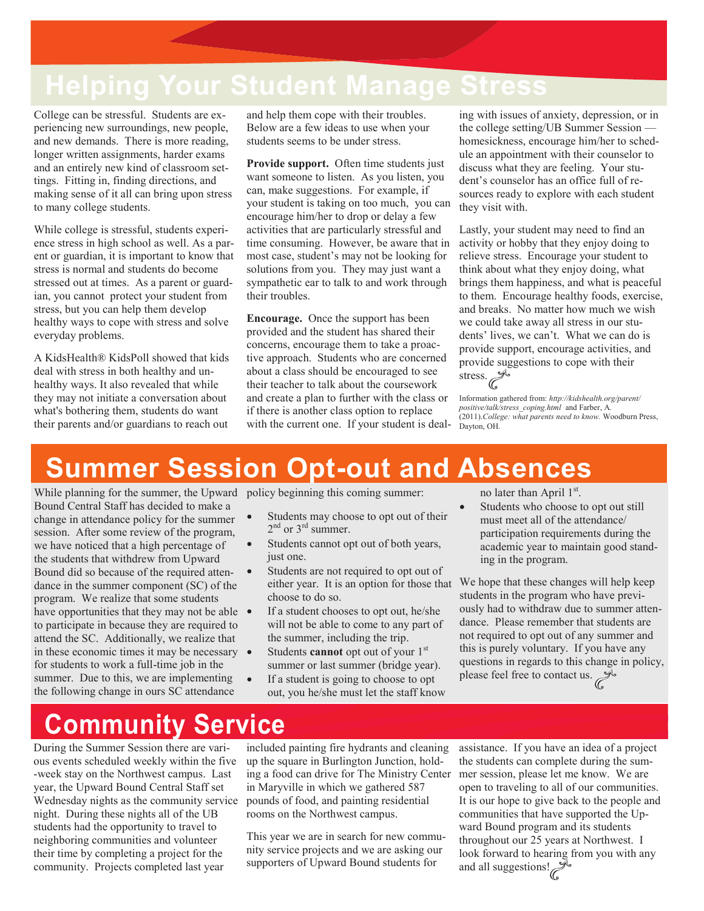### **Helping Your Student Manage Stress**

College can be stressful. Students are experiencing new surroundings, new people, and new demands. There is more reading, longer written assignments, harder exams and an entirely new kind of classroom settings. Fitting in, finding directions, and making sense of it all can bring upon stress to many college students.

While college is stressful, students experience stress in high school as well. As a parent or guardian, it is important to know that stress is normal and students do become stressed out at times. As a parent or guardian, you cannot protect your student from stress, but you can help them develop healthy ways to cope with stress and solve everyday problems.

A KidsHealth® KidsPoll showed that kids deal with stress in both healthy and unhealthy ways. It also revealed that while they may not initiate a conversation about what's bothering them, students do want their parents and/or guardians to reach out

and help them cope with their troubles. Below are a few ideas to use when your students seems to be under stress.

**Provide support.** Often time students just want someone to listen. As you listen, you can, make suggestions. For example, if your student is taking on too much, you can encourage him/her to drop or delay a few activities that are particularly stressful and time consuming. However, be aware that in most case, student's may not be looking for solutions from you. They may just want a sympathetic ear to talk to and work through their troubles.

**Encourage.** Once the support has been provided and the student has shared their concerns, encourage them to take a proactive approach. Students who are concerned about a class should be encouraged to see their teacher to talk about the coursework and create a plan to further with the class or if there is another class option to replace with the current one. If your student is deal-

ing with issues of anxiety, depression, or in the college setting/UB Summer Session homesickness, encourage him/her to schedule an appointment with their counselor to discuss what they are feeling. Your student's counselor has an office full of resources ready to explore with each student they visit with.

Lastly, your student may need to find an activity or hobby that they enjoy doing to relieve stress. Encourage your student to think about what they enjoy doing, what brings them happiness, and what is peaceful to them. Encourage healthy foods, exercise, and breaks. No matter how much we wish we could take away all stress in our students' lives, we can't. What we can do is provide support, encourage activities, and provide suggestions to cope with their stress.

Information gathered from: *http://kidshealth.org/parent/ positive/talk/stress\_coping.html* and Farber, A. (2011).*College: what parents need to know.* Woodburn Press, Dayton, OH.

#### **Summer Session Opt-out and Absences**

While planning for the summer, the Upward policy beginning this coming summer: Bound Central Staff has decided to make a change in attendance policy for the summer session. After some review of the program, we have noticed that a high percentage of the students that withdrew from Upward Bound did so because of the required attendance in the summer component (SC) of the program. We realize that some students have opportunities that they may not be able  $\bullet$ to participate in because they are required to attend the SC. Additionally, we realize that in these economic times it may be necessary • for students to work a full-time job in the summer. Due to this, we are implementing the following change in ours SC attendance

- Students may choose to opt out of their  $2<sup>nd</sup>$  or  $3<sup>rd</sup>$  summer.
- Students cannot opt out of both years, just one.
- Students are not required to opt out of either year. It is an option for those that choose to do so.
- If a student chooses to opt out, he/she will not be able to come to any part of the summer, including the trip.
- Students **cannot** opt out of your 1<sup>st</sup> summer or last summer (bridge year).
- If a student is going to choose to opt out, you he/she must let the staff know

no later than April  $1<sup>st</sup>$ .

 Students who choose to opt out still must meet all of the attendance/ participation requirements during the academic year to maintain good standing in the program.

We hope that these changes will help keep students in the program who have previously had to withdraw due to summer attendance. Please remember that students are not required to opt out of any summer and this is purely voluntary. If you have any questions in regards to this change in policy, please feel free to contact us.

## **Community Service**

During the Summer Session there are various events scheduled weekly within the five -week stay on the Northwest campus. Last year, the Upward Bound Central Staff set Wednesday nights as the community service night. During these nights all of the UB students had the opportunity to travel to neighboring communities and volunteer their time by completing a project for the community. Projects completed last year

included painting fire hydrants and cleaning up the square in Burlington Junction, holding a food can drive for The Ministry Center in Maryville in which we gathered 587 pounds of food, and painting residential rooms on the Northwest campus.

This year we are in search for new community service projects and we are asking our supporters of Upward Bound students for

assistance. If you have an idea of a project the students can complete during the summer session, please let me know. We are open to traveling to all of our communities. It is our hope to give back to the people and communities that have supported the Upward Bound program and its students throughout our 25 years at Northwest. I look forward to hearing from you with any and all suggestions!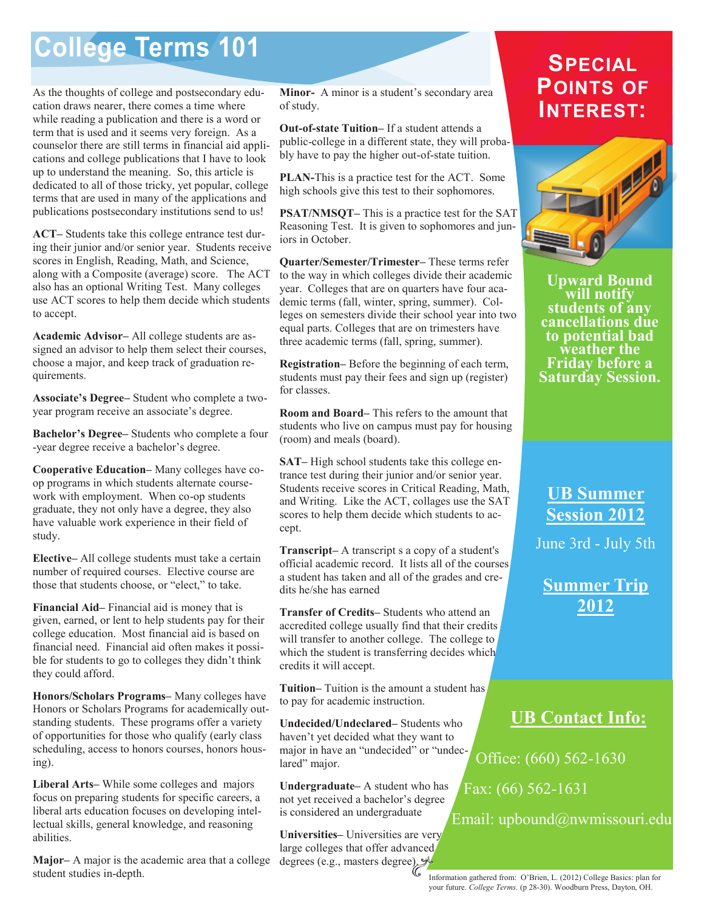## **College Terms 101**

As the thoughts of college and postsecondary education draws nearer, there comes a time where while reading a publication and there is a word or term that is used and it seems very foreign. As a counselor there are still terms in financial aid applications and college publications that I have to look up to understand the meaning. So, this article is dedicated to all of those tricky, yet popular, college terms that are used in many of the applications and publications postsecondary institutions send to us!

**ACT–** Students take this college entrance test during their junior and/or senior year. Students receive scores in English, Reading, Math, and Science, along with a Composite (average) score. The ACT also has an optional Writing Test. Many colleges use ACT scores to help them decide which students to accept.

**Academic Advisor–** All college students are assigned an advisor to help them select their courses, choose a major, and keep track of graduation requirements.

**Associate's Degree–** Student who complete a twoyear program receive an associate's degree.

**Bachelor's Degree–** Students who complete a four -year degree receive a bachelor's degree.

**Cooperative Education–** Many colleges have coop programs in which students alternate coursework with employment. When co-op students graduate, they not only have a degree, they also have valuable work experience in their field of study.

**Elective–** All college students must take a certain number of required courses. Elective course are those that students choose, or "elect," to take.

**Financial Aid–** Financial aid is money that is given, earned, or lent to help students pay for their college education. Most financial aid is based on financial need. Financial aid often makes it possible for students to go to colleges they didn't think they could afford.

**Honors/Scholars Programs–** Many colleges have Honors or Scholars Programs for academically outstanding students. These programs offer a variety of opportunities for those who qualify (early class scheduling, access to honors courses, honors housing).

**Liberal Arts–** While some colleges and majors focus on preparing students for specific careers, a liberal arts education focuses on developing intellectual skills, general knowledge, and reasoning abilities.

**Major–** A major is the academic area that a college student studies in-depth.

**Minor-** A minor is a student's secondary area of study.

**Out-of-state Tuition–** If a student attends a public-college in a different state, they will probably have to pay the higher out-of-state tuition.

**PLAN-**This is a practice test for the ACT. Some high schools give this test to their sophomores.

**PSAT/NMSQT–** This is a practice test for the SAT Reasoning Test. It is given to sophomores and juniors in October.

**Quarter/Semester/Trimester–** These terms refer to the way in which colleges divide their academic year. Colleges that are on quarters have four academic terms (fall, winter, spring, summer). Colleges on semesters divide their school year into two equal parts. Colleges that are on trimesters have three academic terms (fall, spring, summer).

**Registration–** Before the beginning of each term, students must pay their fees and sign up (register) for classes.

**Room and Board–** This refers to the amount that students who live on campus must pay for housing (room) and meals (board).

**SAT–** High school students take this college entrance test during their junior and/or senior year. Students receive scores in Critical Reading, Math, and Writing. Like the ACT, collages use the SAT scores to help them decide which students to accept.

**Transcript–** A transcript s a copy of a student's official academic record. It lists all of the courses a student has taken and all of the grades and credits he/she has earned

**Transfer of Credits–** Students who attend an accredited college usually find that their credits will transfer to another college. The college to which the student is transferring decides which credits it will accept.

**Tuition–** Tuition is the amount a student has to pay for academic instruction.

**Undecided/Undeclared–** Students who haven't yet decided what they want to major in have an "undecided" or "undeclared" major.

**Undergraduate–** A student who has not yet received a bachelor's degree is considered an undergraduate

**Universities–** Universities are very large colleges that offer advanced degrees (e.g., masters degree).

#### **SPECIAL POINTS OF INTEREST:**



**Upward Bound will notify students of any cancellations due to potential bad weather the Friday before a Saturday Session.**

**UB Summer Session 2012**

June 3rd - July 5th

**Summer Trip 2012**

#### **UB Contact Info:**

Office: (660) 562-1630

Fax: (66) 562-1631

Email: upbound@nwmissouri.edu

Information gathered from: O'Brien, L. (2012) College Basics: plan for your future. *College Terms.* (p 28-30). Woodburn Press, Dayton, OH.